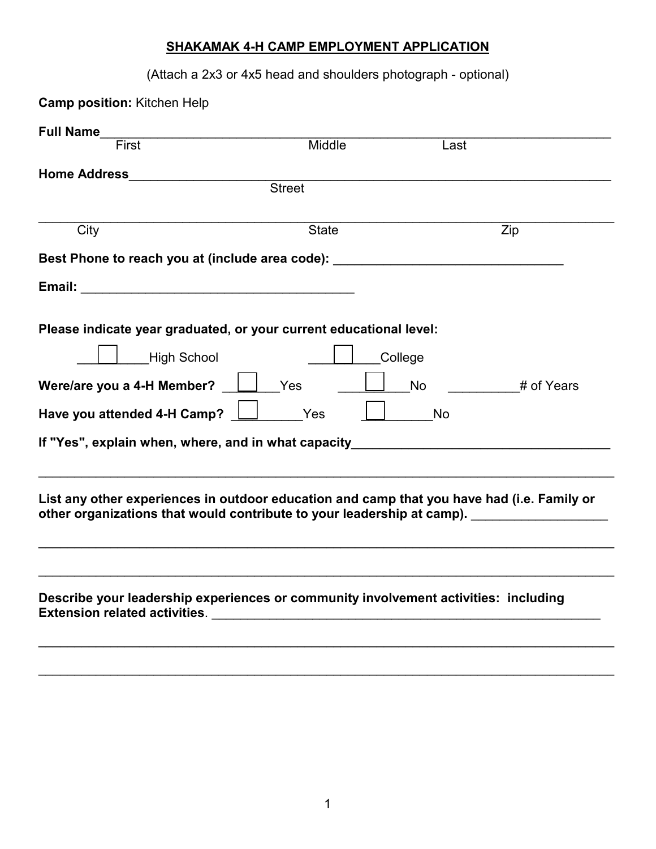## **SHAKAMAK 4-H CAMP EMPLOYMENT APPLICATION**

| (Attach a 2x3 or 4x5 head and shoulders photograph - optional)                      |              |                                                                                            |  |  |
|-------------------------------------------------------------------------------------|--------------|--------------------------------------------------------------------------------------------|--|--|
| <b>Camp position: Kitchen Help</b>                                                  |              |                                                                                            |  |  |
| Full Name                                                                           |              |                                                                                            |  |  |
| First                                                                               | Middle       | Last                                                                                       |  |  |
| <b>Home Address</b>                                                                 |              |                                                                                            |  |  |
|                                                                                     | Street       |                                                                                            |  |  |
| City                                                                                | <b>State</b> | Zip                                                                                        |  |  |
| Best Phone to reach you at (include area code): ________________________________    |              |                                                                                            |  |  |
|                                                                                     |              |                                                                                            |  |  |
|                                                                                     |              |                                                                                            |  |  |
| Please indicate year graduated, or your current educational level:                  |              |                                                                                            |  |  |
| High School                                                                         |              | College                                                                                    |  |  |
| Were/are you a 4-H Member?                                                          | Yes          | <b>No</b><br># of Years                                                                    |  |  |
| Have you attended 4-H Camp? └─┘                                                     | Yes          | No                                                                                         |  |  |
|                                                                                     |              |                                                                                            |  |  |
| If "Yes", explain when, where, and in what capacity                                 |              |                                                                                            |  |  |
|                                                                                     |              |                                                                                            |  |  |
|                                                                                     |              | List any other experiences in outdoor education and camp that you have had (i.e. Family or |  |  |
|                                                                                     |              | other organizations that would contribute to your leadership at camp). ________________    |  |  |
|                                                                                     |              |                                                                                            |  |  |
|                                                                                     |              |                                                                                            |  |  |
| Describe your leadership experiences or community involvement activities: including |              |                                                                                            |  |  |
| <b>Extension related activities.</b>                                                |              |                                                                                            |  |  |
|                                                                                     |              |                                                                                            |  |  |
|                                                                                     |              |                                                                                            |  |  |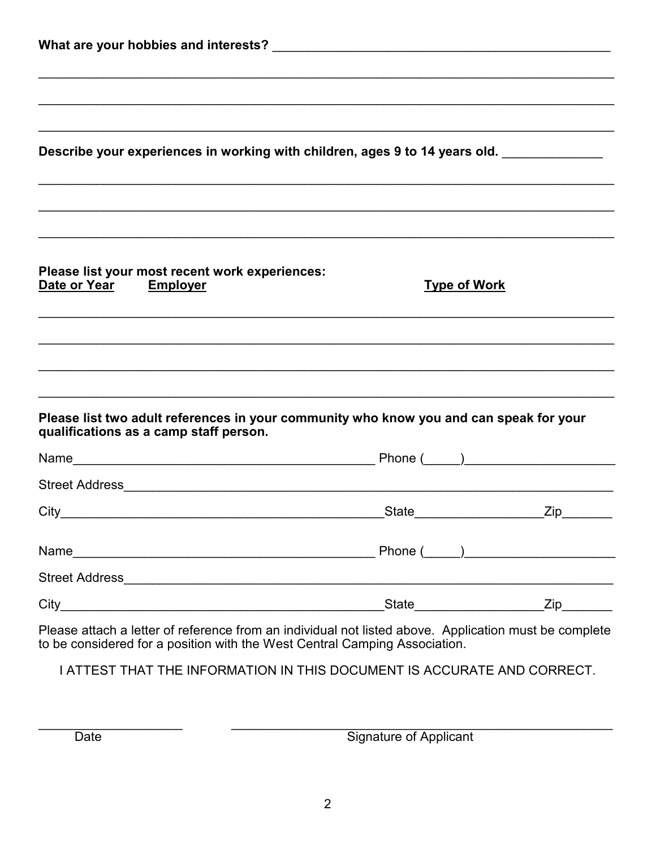| What are your hobbies and interests? The contract of the state of the state of the state of the state of the state of the state of the state of the state of the state of the state of the state of the state of the state of |                     |  |
|-------------------------------------------------------------------------------------------------------------------------------------------------------------------------------------------------------------------------------|---------------------|--|
|                                                                                                                                                                                                                               |                     |  |
| Describe your experiences in working with children, ages 9 to 14 years old. ___________                                                                                                                                       |                     |  |
|                                                                                                                                                                                                                               |                     |  |
| Please list your most recent work experiences:<br>Date or Year Employer                                                                                                                                                       | <b>Type of Work</b> |  |
|                                                                                                                                                                                                                               |                     |  |
| ,我们也不能在这里的人,我们也不能在这里的人,我们也不能在这里的人,我们也不能在这里的人,我们也不能在这里的人,我们也不能在这里的人,我们也不能在这里的人,我们也<br>Please list two adult references in your community who know you and can speak for your<br>qualifications as a camp staff person.         |                     |  |
|                                                                                                                                                                                                                               |                     |  |
|                                                                                                                                                                                                                               |                     |  |
|                                                                                                                                                                                                                               |                     |  |
|                                                                                                                                                                                                                               |                     |  |
|                                                                                                                                                                                                                               |                     |  |
|                                                                                                                                                                                                                               |                     |  |
| Please attach a letter of reference from an individual not listed above. Application must be complete                                                                                                                         |                     |  |

to be considered for a position with the West Central Camping Association.

I ATTEST THAT THE INFORMATION IN THIS DOCUMENT IS ACCURATE AND CORRECT.

Date

Signature of Applicant